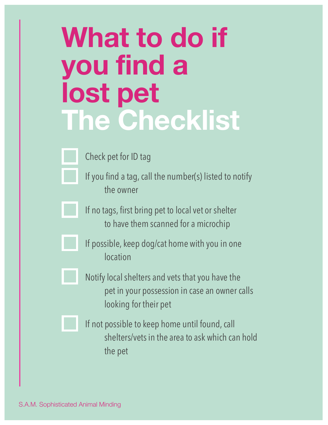## **What to do if you find a lost pet The Checklist**

Check pet for ID tag

If you find a tag, call the number(s) listed to notify the owner

If no tags, first bring pet to local vet or shelter to have them scanned for a microchip



If possible, keep dog/cat home with you in one location



Notify local shelters and vets that you have the pet in your possession in case an owner calls looking for their pet



If not possible to keep home until found, call shelters/vets in the area to ask which can hold the pet